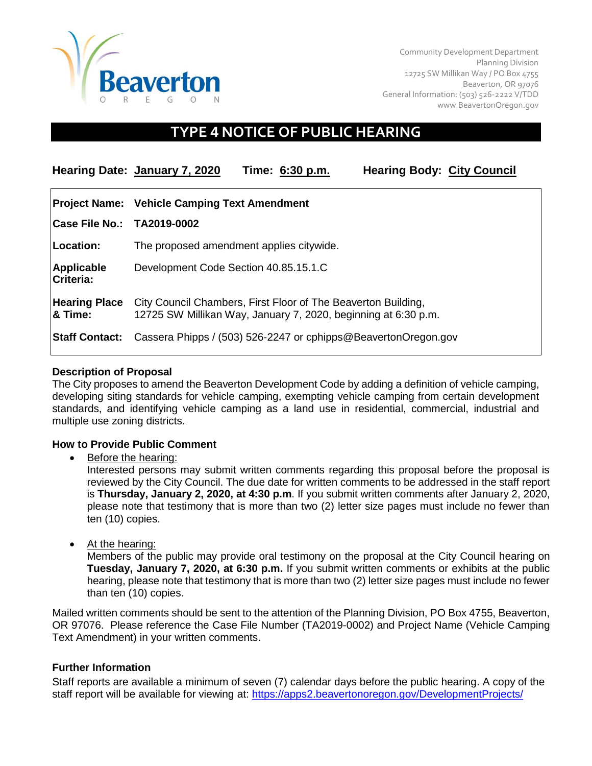

Community Development Department Planning Division 12725 SW Millikan Way / PO Box 4755 Beaverton, OR 97076 General Information: (503) 526-2222 V/TDD [www.BeavertonOregon.gov](http://www.beavertonoregon.gov/)

# **TYPE 4 NOTICE OF PUBLIC HEARING**

**Hearing Date: January 7, 2020 Time: 6:30 p.m. Hearing Body: City Council Project Name: Vehicle Camping Text Amendment Case File No.: TA2019-0002 Location:** The proposed amendment applies citywide. **Applicable Criteria:** Development Code Section 40.85.15.1.C **Hearing Place** City Council Chambers, First Floor of The Beaverton Building, **& Time:** 12725 SW Millikan Way, January 7, 2020, beginning at 6:30 p.m. **Staff Contact:** Cassera Phipps / (503) 526-2247 or cphipps@BeavertonOregon.gov

## **Description of Proposal**

The City proposes to amend the Beaverton Development Code by adding a definition of vehicle camping, developing siting standards for vehicle camping, exempting vehicle camping from certain development standards, and identifying vehicle camping as a land use in residential, commercial, industrial and multiple use zoning districts.

#### **How to Provide Public Comment**

Before the hearing:

Interested persons may submit written comments regarding this proposal before the proposal is reviewed by the City Council. The due date for written comments to be addressed in the staff report is **Thursday, January 2, 2020, at 4:30 p.m**. If you submit written comments after January 2, 2020, please note that testimony that is more than two (2) letter size pages must include no fewer than ten (10) copies.

• At the hearing:

Members of the public may provide oral testimony on the proposal at the City Council hearing on **Tuesday, January 7, 2020, at 6:30 p.m.** If you submit written comments or exhibits at the public hearing, please note that testimony that is more than two (2) letter size pages must include no fewer than ten (10) copies.

Mailed written comments should be sent to the attention of the Planning Division, PO Box 4755, Beaverton, OR 97076. Please reference the Case File Number (TA2019-0002) and Project Name (Vehicle Camping Text Amendment) in your written comments.

#### **Further Information**

Staff reports are available a minimum of seven (7) calendar days before the public hearing. A copy of the staff report will be available for viewing at:<https://apps2.beavertonoregon.gov/DevelopmentProjects/>